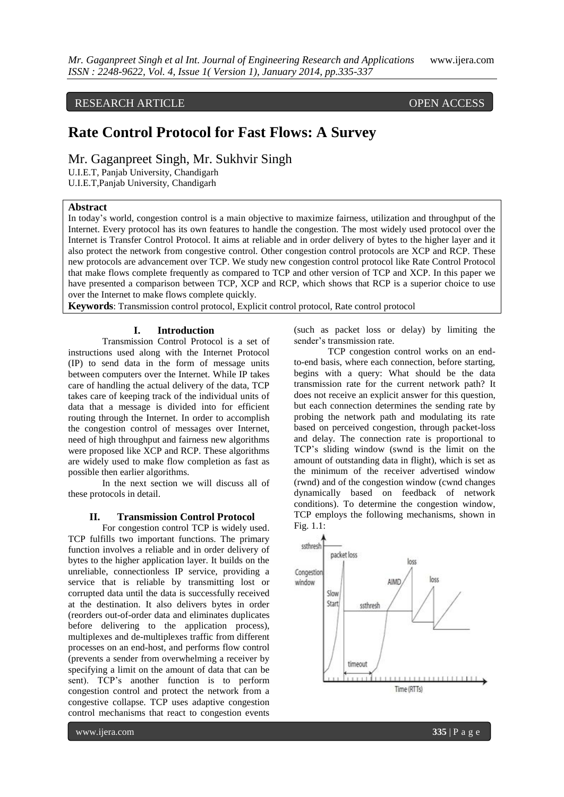## RESEARCH ARTICLE OPEN ACCESS

# **Rate Control Protocol for Fast Flows: A Survey**

Mr. Gaganpreet Singh, Mr. Sukhvir Singh

U.I.E.T, Panjab University, Chandigarh

U.I.E.T,Panjab University, Chandigarh

#### **Abstract**

In today's world, congestion control is a main objective to maximize fairness, utilization and throughput of the Internet. Every protocol has its own features to handle the congestion. The most widely used protocol over the Internet is Transfer Control Protocol. It aims at reliable and in order delivery of bytes to the higher layer and it also protect the network from congestive control. Other congestion control protocols are XCP and RCP. These new protocols are advancement over TCP. We study new congestion control protocol like Rate Control Protocol that make flows complete frequently as compared to TCP and other version of TCP and XCP. In this paper we have presented a comparison between TCP, XCP and RCP, which shows that RCP is a superior choice to use over the Internet to make flows complete quickly.

**Keywords**: Transmission control protocol, Explicit control protocol, Rate control protocol

#### **I. Introduction**

Transmission Control Protocol is a set of instructions used along with the Internet Protocol (IP) to send data in the form of message units between computers over the Internet. While IP takes care of handling the actual delivery of the data, TCP takes care of keeping track of the individual units of data that a message is divided into for efficient routing through the Internet. In order to accomplish the congestion control of messages over Internet, need of high throughput and fairness new algorithms were proposed like XCP and RCP. These algorithms are widely used to make flow completion as fast as possible then earlier algorithms.

In the next section we will discuss all of these protocols in detail.

#### **II. Transmission Control Protocol**

For congestion control TCP is widely used. TCP fulfills two important functions. The primary function involves a reliable and in order delivery of bytes to the higher application layer. It builds on the unreliable, connectionless IP service, providing a service that is reliable by transmitting lost or corrupted data until the data is successfully received at the destination. It also delivers bytes in order (reorders out-of-order data and eliminates duplicates before delivering to the application process), multiplexes and de-multiplexes traffic from different processes on an end-host, and performs flow control (prevents a sender from overwhelming a receiver by specifying a limit on the amount of data that can be sent). TCP's another function is to perform congestion control and protect the network from a congestive collapse. TCP uses adaptive congestion control mechanisms that react to congestion events

(such as packet loss or delay) by limiting the sender's transmission rate.

TCP congestion control works on an endto-end basis, where each connection, before starting, begins with a query: What should be the data transmission rate for the current network path? It does not receive an explicit answer for this question, but each connection determines the sending rate by probing the network path and modulating its rate based on perceived congestion, through packet-loss and delay. The connection rate is proportional to TCP's sliding window (swnd is the limit on the amount of outstanding data in flight), which is set as the minimum of the receiver advertised window (rwnd) and of the congestion window (cwnd changes dynamically based on feedback of network conditions). To determine the congestion window, TCP employs the following mechanisms, shown in Fig. 1.1:

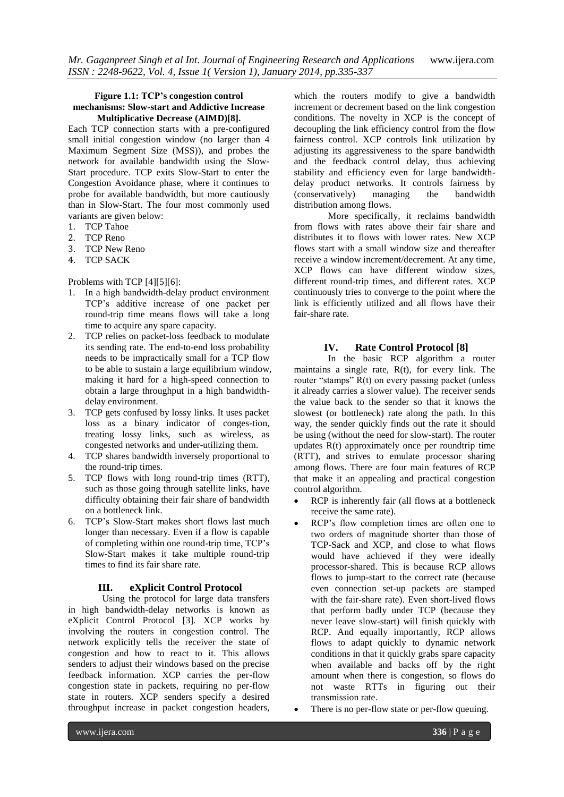#### **Figure 1.1: TCP's congestion control mechanisms: Slow-start and Addictive Increase Multiplicative Decrease (AIMD)[8].**

Each TCP connection starts with a pre-configured small initial congestion window (no larger than 4 Maximum Segment Size (MSS)), and probes the network for available bandwidth using the Slow-Start procedure. TCP exits Slow-Start to enter the Congestion Avoidance phase, where it continues to probe for available bandwidth, but more cautiously than in Slow-Start. The four most commonly used variants are given below:

- 1. TCP Tahoe
- 2. TCP Reno
- 3. TCP New Reno
- 4. TCP SACK

Problems with TCP [4][5][6]:

- 1. In a high bandwidth-delay product environment TCP's additive increase of one packet per round-trip time means flows will take a long time to acquire any spare capacity.
- 2. TCP relies on packet-loss feedback to modulate its sending rate. The end-to-end loss probability needs to be impractically small for a TCP flow to be able to sustain a large equilibrium window, making it hard for a high-speed connection to obtain a large throughput in a high bandwidthdelay environment.
- 3. TCP gets confused by lossy links. It uses packet loss as a binary indicator of conges-tion, treating lossy links, such as wireless, as congested networks and under-utilizing them.
- 4. TCP shares bandwidth inversely proportional to the round-trip times.
- 5. TCP flows with long round-trip times (RTT), such as those going through satellite links, have difficulty obtaining their fair share of bandwidth on a bottleneck link.
- 6. TCP's Slow-Start makes short flows last much longer than necessary. Even if a flow is capable of completing within one round-trip time, TCP's Slow-Start makes it take multiple round-trip times to find its fair share rate.

#### **III. eXplicit Control Protocol**

Using the protocol for large data transfers in high bandwidth-delay networks is known as eXplicit Control Protocol [3]. XCP works by involving the routers in congestion control. The network explicitly tells the receiver the state of congestion and how to react to it. This allows senders to adjust their windows based on the precise feedback information. XCP carries the per-flow congestion state in packets, requiring no per-flow state in routers. XCP senders specify a desired throughput increase in packet congestion headers,

which the routers modify to give a bandwidth increment or decrement based on the link congestion conditions. The novelty in XCP is the concept of decoupling the link efficiency control from the flow fairness control. XCP controls link utilization by adjusting its aggressiveness to the spare bandwidth and the feedback control delay, thus achieving stability and efficiency even for large bandwidthdelay product networks. It controls fairness by (conservatively) managing the bandwidth distribution among flows.

More specifically, it reclaims bandwidth from flows with rates above their fair share and distributes it to flows with lower rates. New XCP flows start with a small window size and thereafter receive a window increment/decrement. At any time, XCP flows can have different window sizes, different round-trip times, and different rates. XCP continuously tries to converge to the point where the link is efficiently utilized and all flows have their fair-share rate.

#### **IV. Rate Control Protocol [8]**

In the basic RCP algorithm a router maintains a single rate, R(t), for every link. The router "stamps" R(t) on every passing packet (unless it already carries a slower value). The receiver sends the value back to the sender so that it knows the slowest (or bottleneck) rate along the path. In this way, the sender quickly finds out the rate it should be using (without the need for slow-start). The router updates R(t) approximately once per roundtrip time (RTT), and strives to emulate processor sharing among flows. There are four main features of RCP that make it an appealing and practical congestion control algorithm.

- RCP is inherently fair (all flows at a bottleneck receive the same rate).
- RCP's flow completion times are often one to two orders of magnitude shorter than those of TCP-Sack and XCP, and close to what flows would have achieved if they were ideally processor-shared. This is because RCP allows flows to jump-start to the correct rate (because even connection set-up packets are stamped with the fair-share rate). Even short-lived flows that perform badly under TCP (because they never leave slow-start) will finish quickly with RCP. And equally importantly, RCP allows flows to adapt quickly to dynamic network conditions in that it quickly grabs spare capacity when available and backs off by the right amount when there is congestion, so flows do not waste RTTs in figuring out their transmission rate.
- There is no per-flow state or per-flow queuing.